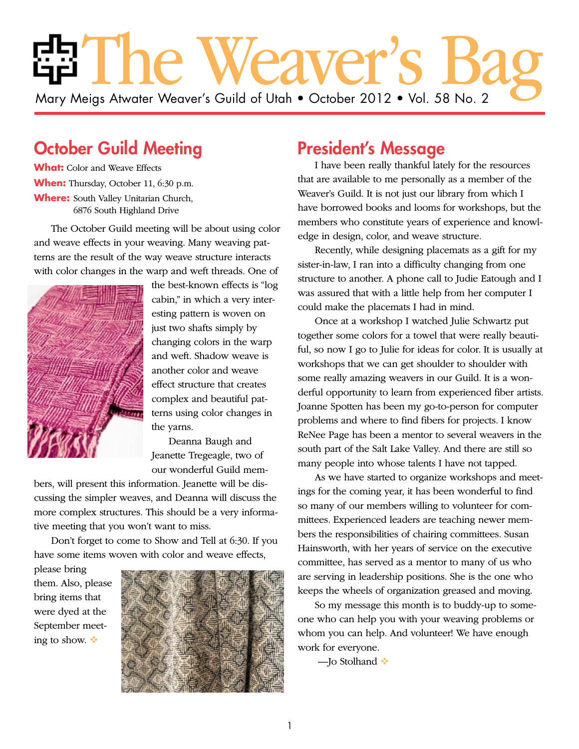# The Weaver's Bag Mary Meigs Atwater Weaver's Guild of Utah • October 2012 • Vol. 58 No. 2

## October Guild Meeting

**What:** Color and Weave Effects **When:** Thursday, October 11, 6:30 p.m. **Where:** South Valley Unitarian Church, 6876 South Highland Drive

The October Guild meeting will be about using color and weave effects in your weaving. Many weaving patterns are the result of the way weave structure interacts with color changes in the warp and weft threads. One of



the best-known effects is "log cabin," in which a very interesting pattern is woven on just two shafts simply by changing colors in the warp and weft. Shadow weave is another color and weave effect structure that creates complex and beautiful patterns using color changes in the yarns.

Deanna Baugh and Jeanette Tregeagle, two of our wonderful Guild mem-

bers, will present this information. Jeanette will be discussing the simpler weaves, and Deanna will discuss the more complex structures. This should be a very informative meeting that you won't want to miss.

Don't forget to come to Show and Tell at 6:30. If you have some items woven with color and weave effects,

please bring them. Also, please bring items that were dyed at the September meeting to show.



### President's Message

I have been really thankful lately for the resources that are available to me personally as a member of the Weaver's Guild. It is not just our library from which I have borrowed books and looms for workshops, but the members who constitute years of experience and knowledge in design, color, and weave structure.

Recently, while designing placemats as a gift for my sister-in-law, I ran into a difficulty changing from one structure to another. A phone call to Judie Eatough and I was assured that with a little help from her computer I could make the placemats I had in mind.

Once at a workshop I watched Julie Schwartz put together some colors for a towel that were really beautiful, so now I go to Julie for ideas for color. It is usually at workshops that we can get shoulder to shoulder with some really amazing weavers in our Guild. It is a wonderful opportunity to learn from experienced fiber artists. Joanne Spotten has been my go-to-person for computer problems and where to find fibers for projects. I know ReNee Page has been a mentor to several weavers in the south part of the Salt Lake Valley. And there are still so many people into whose talents I have not tapped.

As we have started to organize workshops and meetings for the coming year, it has been wonderful to find so many of our members willing to volunteer for committees. Experienced leaders are teaching newer members the responsibilities of chairing committees. Susan Hainsworth, with her years of service on the executive committee, has served as a mentor to many of us who are serving in leadership positions. She is the one who keeps the wheels of organization greased and moving.

So my message this month is to buddy-up to someone who can help you with your weaving problems or whom you can help. And volunteer! We have enough work for everyone.

—Jo Stolhand ❖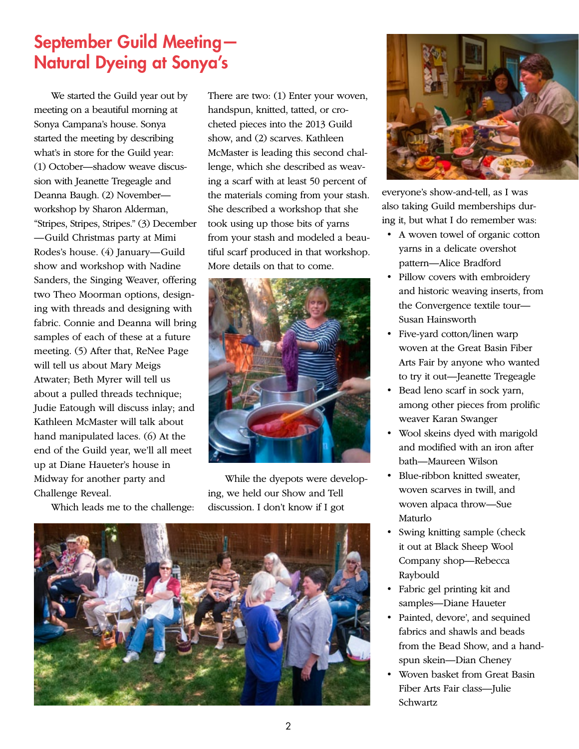## September Guild Meeting— Natural Dyeing at Sonya's

We started the Guild year out by meeting on a beautiful morning at Sonya Campana's house. Sonya started the meeting by describing what's in store for the Guild year: (1) October—shadow weave discussion with Jeanette Tregeagle and Deanna Baugh. (2) November workshop by Sharon Alderman, "Stripes, Stripes, Stripes." (3) December —Guild Christmas party at Mimi Rodes's house. (4) January—Guild show and workshop with Nadine Sanders, the Singing Weaver, offering two Theo Moorman options, designing with threads and designing with fabric. Connie and Deanna will bring samples of each of these at a future meeting. (5) After that, ReNee Page will tell us about Mary Meigs Atwater; Beth Myrer will tell us about a pulled threads technique; Judie Eatough will discuss inlay; and Kathleen McMaster will talk about hand manipulated laces. (6) At the end of the Guild year, we'll all meet up at Diane Haueter's house in Midway for another party and Challenge Reveal.

Which leads me to the challenge:

There are two: (1) Enter your woven, handspun, knitted, tatted, or crocheted pieces into the 2013 Guild show, and (2) scarves. Kathleen McMaster is leading this second challenge, which she described as weaving a scarf with at least 50 percent of the materials coming from your stash. She described a workshop that she took using up those bits of yarns from your stash and modeled a beautiful scarf produced in that workshop. More details on that to come.



While the dyepots were developing, we held our Show and Tell discussion. I don't know if I got





everyone's show-and-tell, as I was also taking Guild memberships during it, but what I do remember was:

- A woven towel of organic cotton yarns in a delicate overshot pattern—Alice Bradford
- Pillow covers with embroidery and historic weaving inserts, from the Convergence textile tour— Susan Hainsworth
- Five-yard cotton/linen warp woven at the Great Basin Fiber Arts Fair by anyone who wanted to try it out—Jeanette Tregeagle
- Bead leno scarf in sock yarn, among other pieces from prolific weaver Karan Swanger
- Wool skeins dyed with marigold and modified with an iron after bath—Maureen Wilson
- Blue-ribbon knitted sweater, woven scarves in twill, and woven alpaca throw—Sue Maturlo
- Swing knitting sample (check it out at Black Sheep Wool Company shop—Rebecca Raybould
- Fabric gel printing kit and samples—Diane Haueter
- Painted, devore', and sequined fabrics and shawls and beads from the Bead Show, and a handspun skein—Dian Cheney
- Woven basket from Great Basin Fiber Arts Fair class—Julie Schwartz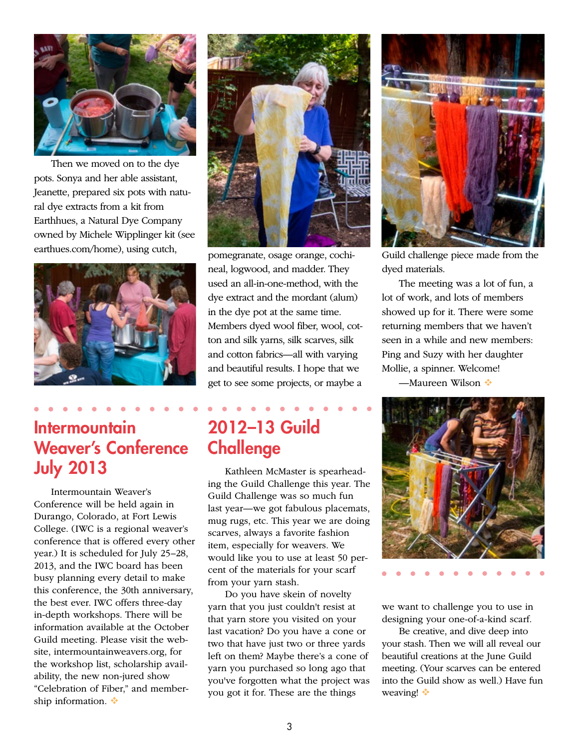

Then we moved on to the dye pots. Sonya and her able assistant, Jeanette, prepared six pots with natural dye extracts from a kit from Earthhues, a Natural Dye Company owned by Michele Wipplinger kit (see earthues.com/home), using cutch, pomegranate, osage orange, cochi-



## **Intermountain** Weaver's Conference July 2013

Intermountain Weaver's Conference will be held again in Durango, Colorado, at Fort Lewis College. (IWC is a regional weaver's conference that is offered every other year.) It is scheduled for July 25–28, 2013, and the IWC board has been busy planning every detail to make this conference, the 30th anniversary, the best ever. IWC offers three-day in-depth workshops. There will be information available at the October Guild meeting. Please visit the website, intermountainweavers.org, for the workshop list, scholarship availability, the new non-jured show "Celebration of Fiber," and membership information.  $\ddot{\bullet}$ 



neal, logwood, and madder. They used an all-in-one-method, with the dye extract and the mordant (alum) in the dye pot at the same time. Members dyed wool fiber, wool, cotton and silk yarns, silk scarves, silk and cotton fabrics—all with varying and beautiful results. I hope that we get to see some projects, or maybe a

## 2012–13 Guild **Challenge**

Kathleen McMaster is spearheading the Guild Challenge this year. The Guild Challenge was so much fun last year—we got fabulous placemats, mug rugs, etc. This year we are doing scarves, always a favorite fashion item, especially for weavers. We would like you to use at least 50 percent of the materials for your scarf from your yarn stash.

Do you have skein of novelty yarn that you just couldn't resist at that yarn store you visited on your last vacation? Do you have a cone or two that have just two or three yards left on them? Maybe there's a cone of yarn you purchased so long ago that you've forgotten what the project was you got it for. These are the things



Guild challenge piece made from the dyed materials.

The meeting was a lot of fun, a lot of work, and lots of members showed up for it. There were some returning members that we haven't seen in a while and new members: Ping and Suzy with her daughter Mollie, a spinner. Welcome!

—Maureen Wilson ❖



we want to challenge you to use in designing your one-of-a-kind scarf.

Be creative, and dive deep into your stash. Then we will all reveal our beautiful creations at the June Guild meeting. (Your scarves can be entered into the Guild show as well.) Have fun weaving!  $\cdot$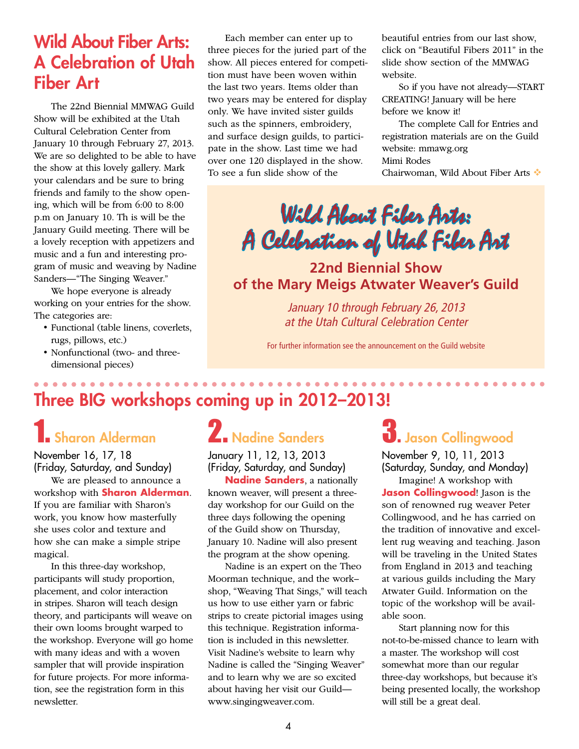## Wild About Fiber Arts: A Celebration of Utah Fiber Art

The 22nd Biennial MMWAG Guild Show will be exhibited at the Utah Cultural Celebration Center from January 10 through February 27, 2013. We are so delighted to be able to have the show at this lovely gallery. Mark your calendars and be sure to bring friends and family to the show opening, which will be from 6:00 to 8:00 p.m on January 10. Th is will be the January Guild meeting. There will be a lovely reception with appetizers and music and a fun and interesting program of music and weaving by Nadine Sanders—"The Singing Weaver."

We hope everyone is already working on your entries for the show. The categories are:

- Functional (table linens, coverlets, rugs, pillows, etc.)
- Nonfunctional (two- and threedimensional pieces)

Each member can enter up to three pieces for the juried part of the show. All pieces entered for competition must have been woven within the last two years. Items older than two years may be entered for display only. We have invited sister guilds such as the spinners, embroidery, and surface design guilds, to participate in the show. Last time we had over one 120 displayed in the show. To see a fun slide show of the

beautiful entries from our last show, click on "Beautiful Fibers 2011" in the slide show section of the MMWAG website.

So if you have not already—START CREATING! January will be here before we know it!

The complete Call for Entries and registration materials are on the Guild website: mmawg.org Mimi Rodes Chairwoman, Wild About Fiber Arts

Wild About Fiber Arts: A Celebration of Utah Fiber Art

**22nd Biennial Show of the Mary Meigs Atwater Weaver's Guild**

*January 10 through February 26, 2013 at the Utah Cultural Celebration Center*

For further information see the announcement on the Guild website

## Three BIG workshops coming up in 2012–2013!

## 1. Sharon Alderman

November 16, 17, 18 (Friday, Saturday, and Sunday)

We are pleased to announce a workshop with **Sharon Alderman**. If you are familiar with Sharon's work, you know how masterfully she uses color and texture and how she can make a simple stripe magical.

In this three-day workshop, participants will study proportion, placement, and color interaction in stripes. Sharon will teach design theory, and participants will weave on their own looms brought warped to the workshop. Everyone will go home with many ideas and with a woven sampler that will provide inspiration for future projects. For more information, see the registration form in this newsletter.

## 2. Nadine Sanders

January 11, 12, 13, 2013 (Friday, Saturday, and Sunday)

**Nadine Sanders**, a nationally known weaver, will present a threeday workshop for our Guild on the three days following the opening of the Guild show on Thursday, January 10. Nadine will also present the program at the show opening.

Nadine is an expert on the Theo Moorman technique, and the work– shop, "Weaving That Sings," will teach us how to use either yarn or fabric strips to create pictorial images using this technique. Registration information is included in this newsletter. Visit Nadine's website to learn why Nadine is called the "Singing Weaver" and to learn why we are so excited about having her visit our Guild www.singingweaver.com.

## $\mathbf 3$ . Jason Collingwood

. . . . . . . . . . . . . . . . .

November 9, 10, 11, 2013 (Saturday, Sunday, and Monday)

Imagine! A workshop with **Jason Collingwood**! Jason is the son of renowned rug weaver Peter Collingwood, and he has carried on the tradition of innovative and excellent rug weaving and teaching. Jason will be traveling in the United States from England in 2013 and teaching at various guilds including the Mary Atwater Guild. Information on the topic of the workshop will be available soon.

Start planning now for this not-to-be-missed chance to learn with a master. The workshop will cost somewhat more than our regular three-day workshops, but because it's being presented locally, the workshop will still be a great deal.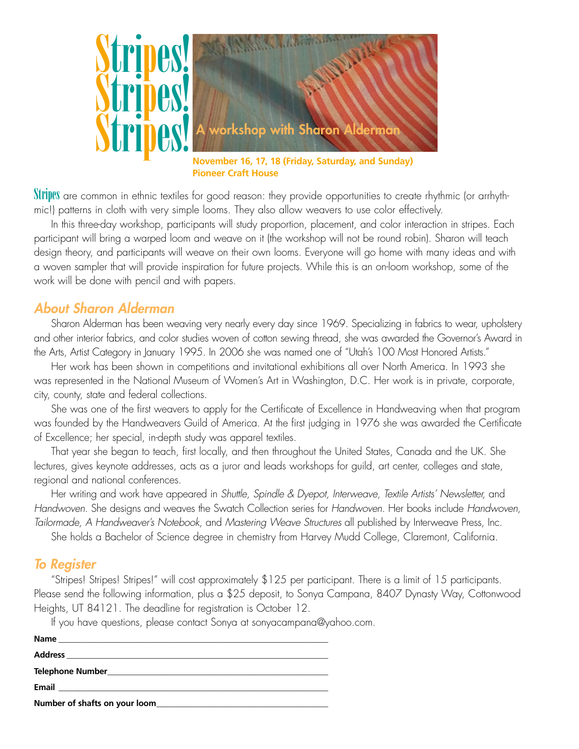

**November 16, 17, 18 (Friday, Saturday, and Sunday) Pioneer Craft House**

Stripes are common in ethnic textiles for good reason: they provide opportunities to create rhythmic (or arrhythmic!) patterns in cloth with very simple looms. They also allow weavers to use color effectively.

In this three-day workshop, participants will study proportion, placement, and color interaction in stripes. Each participant will bring a warped loom and weave on it (the workshop will not be round robin). Sharon will teach design theory, and participants will weave on their own looms. Everyone will go home with many ideas and with a woven sampler that will provide inspiration for future projects. While this is an on-loom workshop, some of the work will be done with pencil and with papers.

#### *About Sharon Alderman*

Sharon Alderman has been weaving very nearly every day since 1969. Specializing in fabrics to wear, upholstery and other interior fabrics, and color studies woven of cotton sewing thread, she was awarded the Governor's Award in the Arts, Artist Category in January 1995. In 2006 she was named one of "Utah's 100 Most Honored Artists."

Her work has been shown in competitions and invitational exhibitions all over North America. In 1993 she was represented in the National Museum of Women's Art in Washington, D.C. Her work is in private, corporate, city, county, state and federal collections.

She was one of the first weavers to apply for the Certificate of Excellence in Handweaving when that program was founded by the Handweavers Guild of America. At the first judging in 1976 she was awarded the Certificate of Excellence; her special, in-depth study was apparel textiles.

That year she began to teach, first locally, and then throughout the United States, Canada and the UK. She lectures, gives keynote addresses, acts as a juror and leads workshops for guild, art center, colleges and state, regional and national conferences.

Her writing and work have appeared in *Shuttle, Spindle & Dyepot, Interweave, Textile Artists' Newsletter,* and *Handwoven*. She designs and weaves the Swatch Collection series for *Handwoven*. Her books include *Handwoven, Tailormade, A Handweaver's Notebook,* and *Mastering Weave Structures* all published by Interweave Press, Inc.

She holds a Bachelor of Science degree in chemistry from Harvey Mudd College, Claremont, California.

#### *To Register*

"Stripes! Stripes! Stripes!" will cost approximately \$125 per participant. There is a limit of 15 participants. Please send the following information, plus a \$25 deposit, to Sonya Campana, 8407 Dynasty Way, Cottonwood Heights, UT 84121. The deadline for registration is October 12.

If you have questions, please contact Sonya at sonyacampana@yahoo.com.

| Number of shafts on your loom |  |
|-------------------------------|--|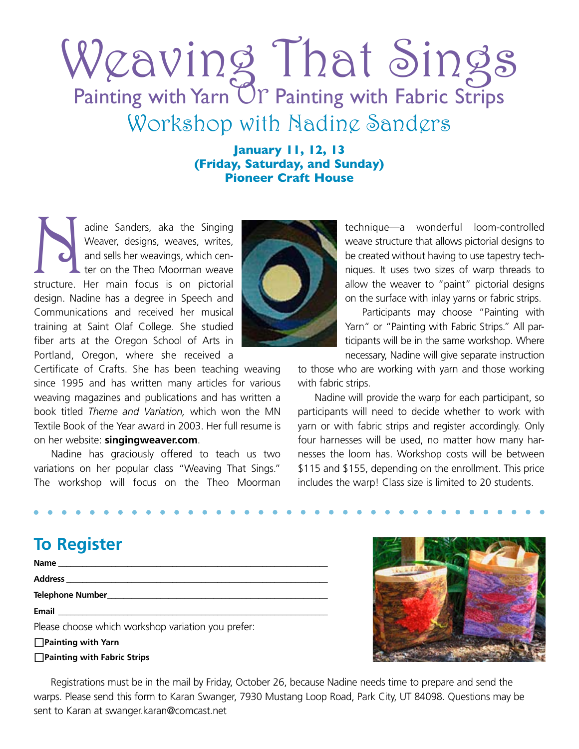# Weaving That Sings Painting with Yarn Or Painting with Fabric Strips Workshop with Nadine Sanders

**January 11, 12, 13 (Friday, Saturday, and Sunday) Pioneer Craft House**

adine Sanders, aka the Singing<br>
Weaver, designs, weaves, writes,<br>
and sells her weavings, which cen-<br>
ter on the Theo Moorman weave<br>
structure. Her main focus is on pictorial Weaver, designs, weaves, writes, and sells her weavings, which center on the Theo Moorman weave design. Nadine has a degree in Speech and Communications and received her musical training at Saint Olaf College. She studied fiber arts at the Oregon School of Arts in Portland, Oregon, where she received a



Certificate of Crafts. She has been teaching weaving since 1995 and has written many articles for various weaving magazines and publications and has written a book titled *Theme and Variation,* which won the MN Textile Book of the Year award in 2003. Her full resume is on her website: **singingweaver.com**.

Nadine has graciously offered to teach us two variations on her popular class "Weaving That Sings." The workshop will focus on the Theo Moorman technique—a wonderful loom-controlled weave structure that allows pictorial designs to be created without having to use tapestry techniques. It uses two sizes of warp threads to allow the weaver to "paint" pictorial designs on the surface with inlay yarns or fabric strips.

Participants may choose "Painting with Yarn" or "Painting with Fabric Strips." All participants will be in the same workshop. Where necessary, Nadine will give separate instruction

to those who are working with yarn and those working with fabric strips.

Nadine will provide the warp for each participant, so participants will need to decide whether to work with yarn or with fabric strips and register accordingly. Only four harnesses will be used, no matter how many harnesses the loom has. Workshop costs will be between \$115 and \$155, depending on the enrollment. This price includes the warp! Class size is limited to 20 students.

## **To Register**

| Name and the contract of the contract of the contract of the contract of the contract of the contract of the contract of the contract of the contract of the contract of the contract of the contract of the contract of the c |
|--------------------------------------------------------------------------------------------------------------------------------------------------------------------------------------------------------------------------------|
| Address                                                                                                                                                                                                                        |
| <b>Telephone Number and Service Services</b> and Services and Services and Services and Services and Services and Services                                                                                                     |
|                                                                                                                                                                                                                                |
| Please choose which workshop variation you prefer:                                                                                                                                                                             |
| $\Box$ Painting with Yarn                                                                                                                                                                                                      |
| $\Box$ Painting with Fabric Strips                                                                                                                                                                                             |



Registrations must be in the mail by Friday, October 26, because Nadine needs time to prepare and send the warps. Please send this form to Karan Swanger, 7930 Mustang Loop Road, Park City, UT 84098. Questions may be sent to Karan at swanger.karan@comcast.net